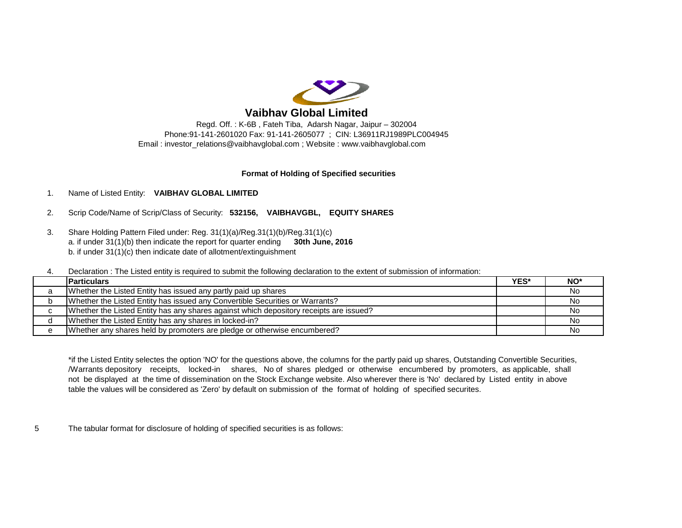

# **Vaibhav Global Limited**

Email : [investor\\_relations@vaibhavglobal.com](mailto:investor_relations@vaibhavglobal.com) ; Website : [www.vaibhavglobal.com](http://www.vaibhavglobal.com) Regd. Off. : K-6B , Fateh Tiba, Adarsh Nagar, Jaipur – 302004 Phone:91-141-2601020 Fax: 91-141-2605077 ; CIN: L36911RJ1989PLC004945

### **Format of Holding of Specified securities**

## 1. Name of Listed Entity: **VAIBHAV GLOBAL LIMITED**

- 2. Scrip Code/Name of Scrip/Class of Security: **532156, VAIBHAVGBL, EQUITY SHARES**
- 3. Share Holding Pattern Filed under: Reg. 31(1)(a)/Reg.31(1)(b)/Reg.31(1)(c) a. if under 31(1)(b) then indicate the report for quarter ending **30th June, 2016** b. if under 31(1)(c) then indicate date of allotment/extinguishment

4. Declaration : The Listed entity is required to submit the following declaration to the extent of submission of information:

|   | <b>Particulars</b>                                                                     | YES* | NO <sup>*</sup> |
|---|----------------------------------------------------------------------------------------|------|-----------------|
|   | Whether the Listed Entity has issued any partly paid up shares                         |      | No              |
|   | Whether the Listed Entity has issued any Convertible Securities or Warrants?           |      | No.             |
|   | Whether the Listed Entity has any shares against which depository receipts are issued? |      | No              |
|   | Whether the Listed Entity has any shares in locked-in?                                 |      | . No            |
| e | Whether any shares held by promoters are pledge or otherwise encumbered?               |      | No              |

not be displayed at the time of dissemination on the Stock Exchange website. Also wherever there is 'No' declared by Listed entity in above table the values will be considered as 'Zero' by default on submission of the format of holding of specified securites. \*if the Listed Entity selectes the option 'NO' for the questions above, the columns for the partly paid up shares, Outstanding Convertible Securities, /Warrants depository receipts, locked-in shares, No of shares pledged or otherwise encumbered by promoters, as applicable, shall

5 The tabular format for disclosure of holding of specified securities is as follows: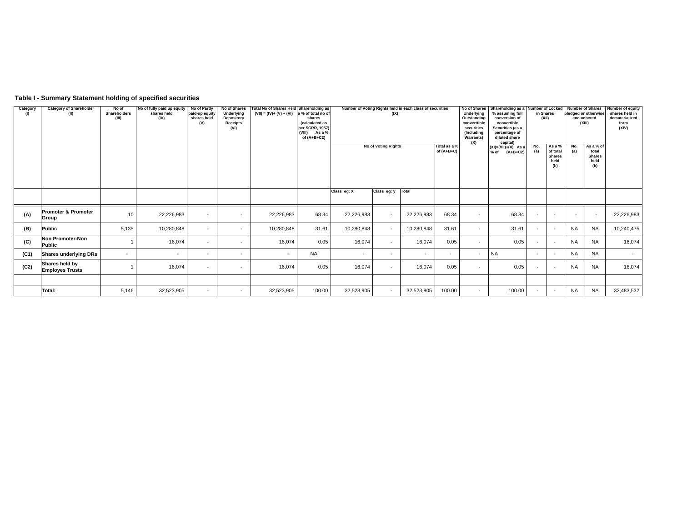### **Table I - Summary Statement holding of specified securities**

| Category<br>(1) | <b>Category of Shareholder</b><br>(II)   | No of<br><b>Shareholders</b><br>(III) | No of fully paid up equity<br>shares held<br>(IV) | No of Partly<br>paid-up equity<br>shares held<br>(V) | No of Shares<br>Underlying<br>Depository<br><b>Receipts</b><br>(VI) | Total No of Shares Held Shareholding as<br>$(VII) = (IV) + (V) + (VI)$ a % of total no of | shares<br>(calculated as<br>per SCRR, 1957)<br>(VIII)<br>As a %<br>of $(A+B+C2)$ | Number of Voting Rights held in each class of securities<br>(IX) |                          |            |                          | Shareholding as a Number of Locked<br>No of Shares<br>Underlying<br>% assuming full<br>Outstanding<br>conversion of<br>converttible<br>convertible<br>securities<br>Securities (as a<br>(Including<br>percentage of<br>diluted share<br><b>Warrants</b> )<br>(X)<br>capital) |           |                          | in Shares<br>(XII) | <b>Number of Shares</b><br>pledged or otherwise<br>encumbered<br>(XIII) |                          | Number of equity<br>shares held in<br>dematerialized<br>form<br>(XIV) |                                                 |            |                                                    |            |                                                    |  |
|-----------------|------------------------------------------|---------------------------------------|---------------------------------------------------|------------------------------------------------------|---------------------------------------------------------------------|-------------------------------------------------------------------------------------------|----------------------------------------------------------------------------------|------------------------------------------------------------------|--------------------------|------------|--------------------------|------------------------------------------------------------------------------------------------------------------------------------------------------------------------------------------------------------------------------------------------------------------------------|-----------|--------------------------|--------------------|-------------------------------------------------------------------------|--------------------------|-----------------------------------------------------------------------|-------------------------------------------------|------------|----------------------------------------------------|------------|----------------------------------------------------|--|
|                 |                                          |                                       |                                                   |                                                      |                                                                     |                                                                                           |                                                                                  | <b>No of Voting Rights</b>                                       |                          |            |                          |                                                                                                                                                                                                                                                                              |           | of $(A+B+C)$             |                    | Total as a %                                                            |                          |                                                                       | $(XI) = (VII) + (X)$ As a<br>$(A+B+C2)$<br>% of | No.<br>(a) | As a %<br>of total<br><b>Shares</b><br>held<br>(b) | No.<br>(a) | As a % of<br>total<br><b>Shares</b><br>held<br>(b) |  |
|                 |                                          |                                       |                                                   |                                                      |                                                                     |                                                                                           |                                                                                  | Class eg: X                                                      | Class eq: y Total        |            |                          |                                                                                                                                                                                                                                                                              |           |                          |                    |                                                                         |                          |                                                                       |                                                 |            |                                                    |            |                                                    |  |
| (A)             | <b>Promoter &amp; Promoter</b><br>Group  | 10                                    | 22,226,983                                        | $\sim$                                               | $\overline{\phantom{a}}$                                            | 22,226,983                                                                                | 68.34                                                                            | 22,226,983                                                       | $\overline{\phantom{a}}$ | 22,226,983 | 68.34                    | $\overline{\phantom{a}}$                                                                                                                                                                                                                                                     | 68.34     | $\overline{\phantom{a}}$ | $\sim$             | $\overline{a}$                                                          | $\overline{\phantom{a}}$ | 22,226,983                                                            |                                                 |            |                                                    |            |                                                    |  |
| (B)             | Public                                   | 5,135                                 | 10,280,848                                        | $\sim$                                               |                                                                     | 10,280,848                                                                                | 31.61                                                                            | 10,280,848                                                       |                          | 10,280,848 | 31.61                    | $\overline{\phantom{a}}$                                                                                                                                                                                                                                                     | 31.61     | $\sim$                   | $\sim$             | <b>NA</b>                                                               | <b>NA</b>                | 10,240,475                                                            |                                                 |            |                                                    |            |                                                    |  |
| (C)             | Non Promoter-Non<br>Public               |                                       | 16,074                                            | $\sim$                                               |                                                                     | 16,074                                                                                    | 0.05                                                                             | 16,074                                                           |                          | 16,074     | 0.05                     | $\overline{\phantom{a}}$                                                                                                                                                                                                                                                     | 0.05      | $\sim$                   | $\sim$             | <b>NA</b>                                                               | <b>NA</b>                | 16,074                                                                |                                                 |            |                                                    |            |                                                    |  |
| (C1)            | <b>Shares underlying DRs</b>             | $\sim$                                | $\sim$                                            | $\sim$                                               | $\overline{\phantom{a}}$                                            | $\sim$                                                                                    | <b>NA</b>                                                                        | $\overline{a}$                                                   | $\overline{a}$           | $\sim$     | $\overline{\phantom{a}}$ | $\sim$                                                                                                                                                                                                                                                                       | <b>NA</b> | $\sim$                   | $\sim$             | <b>NA</b>                                                               | <b>NA</b>                | $\sim$                                                                |                                                 |            |                                                    |            |                                                    |  |
| (C2)            | Shares held by<br><b>Employes Trusts</b> |                                       | 16,074                                            | $\sim$                                               |                                                                     | 16,074                                                                                    | 0.05                                                                             | 16,074                                                           | $\overline{\phantom{a}}$ | 16,074     | 0.05                     | $\overline{\phantom{a}}$                                                                                                                                                                                                                                                     | 0.05      | $\sim$                   | $\sim$             | <b>NA</b>                                                               | <b>NA</b>                | 16,074                                                                |                                                 |            |                                                    |            |                                                    |  |
|                 |                                          |                                       |                                                   |                                                      |                                                                     |                                                                                           |                                                                                  |                                                                  |                          |            |                          |                                                                                                                                                                                                                                                                              |           |                          |                    |                                                                         |                          |                                                                       |                                                 |            |                                                    |            |                                                    |  |
|                 | Total:                                   | 5,146                                 | 32,523,905                                        | $\sim$                                               | $\sim$                                                              | 32,523,905                                                                                | 100.00                                                                           | 32,523,905                                                       |                          | 32,523,905 | 100.00                   | $\sim$                                                                                                                                                                                                                                                                       | 100.00    | $\sim$                   | $\sim$             | <b>NA</b>                                                               | <b>NA</b>                | 32,483,532                                                            |                                                 |            |                                                    |            |                                                    |  |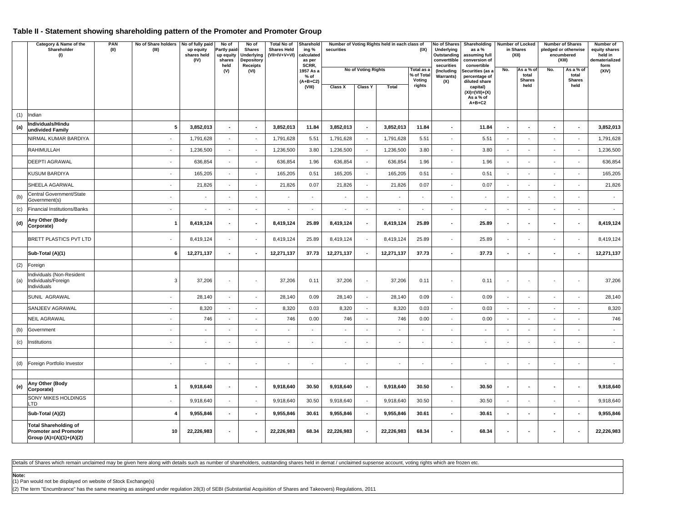### **Table II - Statement showing shareholding pattern of the Promoter and Promoter Group**

|     | Category & Name of the<br>Shareholder<br>(1)                                            | PAN<br>(II) | No of Share holders No of fully paid<br>(III) | up equity<br>shares held<br>(IV) | Number of Voting Rights held in each class of<br>No of<br>No of<br><b>Total No of</b><br>Sharehold<br>No of Shares Shareholding<br><b>Shares Held</b><br>(IX)<br>Underlying<br>Partly paid<br><b>Shares</b><br>ing %<br>securities<br>$(VII=IV+V+VI)$<br>up equity<br>Underlying<br>calculated<br>Outstanding<br>shares<br>Depository<br>converttible<br>as per<br>SCRR,<br>securities |                          | as a %<br>assuming full<br>conversion of |                                   | <b>Number of Locked</b><br>in Shares<br>(XII) | <b>Number of Shares</b><br>pledged or otherwise<br>encumbered<br>(XIII) |                                    | Number of<br>equity shares<br>held in<br>dematerialized<br>form |                                                                   |                                  |                                     |                          |                                     |                          |            |
|-----|-----------------------------------------------------------------------------------------|-------------|-----------------------------------------------|----------------------------------|----------------------------------------------------------------------------------------------------------------------------------------------------------------------------------------------------------------------------------------------------------------------------------------------------------------------------------------------------------------------------------------|--------------------------|------------------------------------------|-----------------------------------|-----------------------------------------------|-------------------------------------------------------------------------|------------------------------------|-----------------------------------------------------------------|-------------------------------------------------------------------|----------------------------------|-------------------------------------|--------------------------|-------------------------------------|--------------------------|------------|
|     |                                                                                         |             |                                               |                                  | held<br>(V)                                                                                                                                                                                                                                                                                                                                                                            | <b>Receipts</b><br>(VI)  |                                          | 1957 As a<br>$%$ of<br>$(A+B+C2)$ |                                               | <b>No of Voting Rights</b>                                              | Total as a<br>% of Total<br>Voting | (Including<br><b>Warrants)</b>                                  | convertible<br>Securities (as a<br>percentage of<br>diluted share | No.                              | As a % of<br>total<br><b>Shares</b> | No.                      | As a % of<br>total<br><b>Shares</b> | (XIV)                    |            |
|     |                                                                                         |             |                                               |                                  |                                                                                                                                                                                                                                                                                                                                                                                        |                          |                                          | (VIII)                            | Class X                                       | <b>Class Y</b>                                                          | <b>Total</b>                       | rights                                                          | (X)                                                               | capital)<br>$(XI) = (VII) + (X)$ |                                     | held                     |                                     | held                     |            |
|     |                                                                                         |             |                                               |                                  |                                                                                                                                                                                                                                                                                                                                                                                        |                          |                                          |                                   |                                               |                                                                         |                                    |                                                                 |                                                                   | As a % of<br>$A+B+C2$            |                                     |                          |                                     |                          |            |
| (1) | Indian                                                                                  |             |                                               |                                  |                                                                                                                                                                                                                                                                                                                                                                                        |                          |                                          |                                   |                                               |                                                                         |                                    |                                                                 |                                                                   |                                  |                                     |                          |                                     |                          |            |
| (a) | Individuals/Hindu<br>undivided Family                                                   |             | ${\bf 5}$                                     | 3,852,013                        |                                                                                                                                                                                                                                                                                                                                                                                        |                          | 3,852,013                                | 11.84                             | 3,852,013                                     |                                                                         | 3,852,013                          | 11.84                                                           | $\overline{\phantom{a}}$                                          | 11.84                            |                                     | $\overline{\phantom{a}}$ |                                     | $\overline{\phantom{a}}$ | 3,852,013  |
|     | NIRMAL KUMAR BARDIYA                                                                    |             | $\blacksquare$                                | 1,791,628                        | $\blacksquare$                                                                                                                                                                                                                                                                                                                                                                         | $\overline{\phantom{a}}$ | 1,791,628                                | 5.51                              | 1,791,628                                     | $\sim$                                                                  | 1,791,628                          | 5.51                                                            | $\overline{\phantom{a}}$                                          | 5.51                             | $\blacksquare$                      | $\sim$                   | $\overline{\phantom{a}}$            | $\overline{\phantom{a}}$ | 1,791,628  |
|     | RAHIMULLAH                                                                              |             | $\sim$                                        | 1,236,500                        | ÷.                                                                                                                                                                                                                                                                                                                                                                                     | $\sim$                   | 1,236,500                                | 3.80                              | 1,236,500                                     | ÷.                                                                      | 1,236,500                          | 3.80                                                            | ÷.                                                                | 3.80                             | $\sim$                              | $\sim$                   | $\blacksquare$                      | $\sim$                   | 1,236,500  |
|     | <b>DEEPTI AGRAWAL</b>                                                                   |             |                                               | 636,854                          | ä,                                                                                                                                                                                                                                                                                                                                                                                     | $\blacksquare$           | 636,854                                  | 1.96                              | 636,854                                       | ÷,                                                                      | 636,854                            | 1.96                                                            | ä,                                                                | 1.96                             | ÷,                                  |                          | ÷,                                  |                          | 636,854    |
|     | <b>KUSUM BARDIYA</b>                                                                    |             | $\sim$                                        | 165,205                          | ÷.                                                                                                                                                                                                                                                                                                                                                                                     | $\sim$                   | 165,205                                  | 0.51                              | 165,205                                       | $\blacksquare$                                                          | 165,205                            | 0.51                                                            | $\blacksquare$                                                    | 0.51                             | $\sim$                              | $\sim$                   | $\blacksquare$                      | $\overline{\phantom{a}}$ | 165,205    |
|     | SHEELA AGARWAL                                                                          |             | $\sim$                                        | 21,826                           | ÷.                                                                                                                                                                                                                                                                                                                                                                                     | $\omega$                 | 21,826                                   | 0.07                              | 21,826                                        | $\sim$                                                                  | 21,826                             | 0.07                                                            | $\blacksquare$                                                    | 0.07                             | $\sim$                              | $\sim$                   | ä,                                  | $\sim$                   | 21,826     |
| (b) | Central Government/State<br>Government(s)                                               |             |                                               |                                  |                                                                                                                                                                                                                                                                                                                                                                                        |                          |                                          |                                   |                                               |                                                                         |                                    |                                                                 |                                                                   |                                  |                                     |                          |                                     |                          |            |
| (c) | <b>Financial Institutions/Banks</b>                                                     |             | $\overline{\phantom{a}}$                      | $\blacksquare$                   | $\blacksquare$                                                                                                                                                                                                                                                                                                                                                                         | $\blacksquare$           | $\blacksquare$                           | $\sim$                            | $\blacksquare$                                | $\blacksquare$                                                          | $\blacksquare$                     | $\blacksquare$                                                  | $\overline{\phantom{a}}$                                          | $\blacksquare$                   | $\blacksquare$                      | $\sim$                   | $\blacksquare$                      | $\overline{\phantom{a}}$ | $\sim$     |
| (d) | Any Other (Body<br>Corporate)                                                           |             | $\mathbf{1}$                                  | 8,419,124                        | $\overline{a}$                                                                                                                                                                                                                                                                                                                                                                         |                          | 8,419,124                                | 25.89                             | 8,419,124                                     | $\overline{a}$                                                          | 8,419,124                          | 25.89                                                           | $\overline{\phantom{a}}$                                          | 25.89                            | $\overline{a}$                      | $\overline{\phantom{a}}$ | $\overline{\phantom{a}}$            | $\blacksquare$           | 8,419,124  |
|     | BRETT PLASTICS PVT LTD                                                                  |             |                                               | 8,419,124                        | $\overline{\phantom{a}}$                                                                                                                                                                                                                                                                                                                                                               |                          | 8,419,124                                | 25.89                             | 8,419,124                                     | $\overline{\phantom{a}}$                                                | 8,419,124                          | 25.89                                                           | $\overline{\phantom{a}}$                                          | 25.89                            | $\overline{a}$                      | $\sim$                   | ٠                                   | ٠                        | 8,419,124  |
|     | Sub-Total (A)(1)                                                                        |             | 6                                             | 12,271,137                       | $\overline{a}$                                                                                                                                                                                                                                                                                                                                                                         |                          | 12,271,137                               | 37.73                             | 12,271,137                                    | $\overline{a}$                                                          | 12,271,137                         | 37.73                                                           | $\overline{a}$                                                    | 37.73                            | $\overline{a}$                      |                          | $\overline{a}$                      | $\overline{a}$           | 12,271,137 |
| (2) | Foreign                                                                                 |             |                                               |                                  |                                                                                                                                                                                                                                                                                                                                                                                        |                          |                                          |                                   |                                               |                                                                         |                                    |                                                                 |                                                                   |                                  |                                     |                          |                                     |                          |            |
| (a) | ndividuals (Non-Resident<br>Individuals/Foreign<br>Individuals                          |             | 3                                             | 37,206                           | $\blacksquare$                                                                                                                                                                                                                                                                                                                                                                         | $\blacksquare$           | 37,206                                   | 0.11                              | 37,206                                        | $\overline{\phantom{a}}$                                                | 37,206                             | 0.11                                                            | ٠                                                                 | 0.11                             |                                     | $\overline{\phantom{a}}$ | $\overline{\phantom{a}}$            | $\overline{\phantom{a}}$ | 37,206     |
|     | SUNIL AGRAWAL                                                                           |             |                                               | 28,140                           | ä,                                                                                                                                                                                                                                                                                                                                                                                     | ÷,                       | 28,140                                   | 0.09                              | 28,140                                        | ÷,                                                                      | 28,140                             | 0.09                                                            | ä,                                                                | 0.09                             |                                     |                          | ÷,                                  | ÷,                       | 28,140     |
|     | SANJEEV AGRAWAL                                                                         |             | $\sim$                                        | 8,320                            | $\sim$                                                                                                                                                                                                                                                                                                                                                                                 | $\sim$                   | 8,320                                    | 0.03                              | 8,320                                         | $\sim$                                                                  | 8,320                              | 0.03                                                            | $\overline{\phantom{a}}$                                          | 0.03                             | $\sim$                              | $\sim$                   | $\overline{\phantom{a}}$            | $\overline{\phantom{a}}$ | 8,320      |
|     | NEIL AGRAWAL                                                                            |             | $\sim$                                        | 746                              | $\overline{\phantom{a}}$                                                                                                                                                                                                                                                                                                                                                               | $\sim$                   | 746                                      | 0.00                              | 746                                           | $\sim$                                                                  | 746                                | 0.00                                                            | $\sim$                                                            | 0.00                             |                                     | $\sim$                   | $\sim$                              | $\sim$                   | 746        |
| (b) | Government                                                                              |             | $\overline{\phantom{a}}$                      |                                  |                                                                                                                                                                                                                                                                                                                                                                                        | $\blacksquare$           | $\blacksquare$                           |                                   | $\overline{\phantom{a}}$                      | $\overline{\phantom{a}}$                                                | $\overline{\phantom{a}}$           | $\overline{\phantom{a}}$                                        | $\overline{\phantom{a}}$                                          | $\sim$                           |                                     | $\sim$                   | $\blacksquare$                      | $\blacksquare$           | $\sim$     |
| (c) | Institutions                                                                            |             |                                               |                                  |                                                                                                                                                                                                                                                                                                                                                                                        |                          |                                          |                                   |                                               |                                                                         |                                    |                                                                 |                                                                   |                                  |                                     |                          |                                     |                          | $\sim$     |
|     |                                                                                         |             |                                               |                                  |                                                                                                                                                                                                                                                                                                                                                                                        |                          |                                          |                                   |                                               |                                                                         |                                    |                                                                 |                                                                   |                                  |                                     |                          |                                     |                          |            |
| (d) | Foreign Portfolio Investor                                                              |             |                                               |                                  |                                                                                                                                                                                                                                                                                                                                                                                        |                          |                                          |                                   |                                               |                                                                         |                                    |                                                                 |                                                                   |                                  |                                     |                          |                                     |                          |            |
|     | Any Other (Body                                                                         |             |                                               |                                  |                                                                                                                                                                                                                                                                                                                                                                                        |                          |                                          |                                   |                                               |                                                                         |                                    |                                                                 |                                                                   |                                  |                                     |                          |                                     |                          |            |
| (e) | Corporate)                                                                              |             | $\overline{1}$                                | 9,918,640                        | $\overline{a}$                                                                                                                                                                                                                                                                                                                                                                         |                          | 9,918,640                                | 30.50                             | 9,918,640                                     | ÷,                                                                      | 9,918,640                          | 30.50                                                           | $\blacksquare$                                                    | 30.50                            |                                     | $\overline{a}$           | ٠                                   | $\blacksquare$           | 9,918,640  |
|     | <b>SONY MIKES HOLDINGS</b><br>LTD                                                       |             |                                               | 9,918,640                        | ÷.                                                                                                                                                                                                                                                                                                                                                                                     |                          | 9,918,640                                | 30.50                             | 9,918,640                                     |                                                                         | 9,918,640                          | 30.50                                                           | ÷.                                                                | 30.50                            |                                     | $\overline{a}$           | ٠                                   |                          | 9,918,640  |
|     | Sub-Total (A)(2)                                                                        |             | $\overline{4}$                                | 9,955,846                        | $\blacksquare$                                                                                                                                                                                                                                                                                                                                                                         |                          | 9,955,846                                | 30.61                             | 9,955,846                                     | $\overline{\phantom{a}}$                                                | 9,955,846                          | 30.61                                                           | $\blacksquare$                                                    | 30.61                            | $\blacksquare$                      | $\overline{\phantom{a}}$ |                                     | $\blacksquare$           | 9,955,846  |
|     | <b>Total Shareholding of</b><br><b>Promoter and Promoter</b><br>Group (A)=(A)(1)+(A)(2) |             | 10                                            | 22,226,983                       | $\blacksquare$                                                                                                                                                                                                                                                                                                                                                                         |                          | 22,226,983                               | 68.34                             | 22,226,983                                    |                                                                         | 22,226,983                         | 68.34                                                           |                                                                   | 68.34                            |                                     |                          | $\blacksquare$                      | $\overline{\phantom{a}}$ | 22,226,983 |

Details of Shares which remain unclaimed may be given here along with details such as number of shareholders, outstanding shares held in demat / unclaimed supsense account, voting rights which are frozen etc.

**Note:**

(1) Pan would not be displayed on website of Stock Exchange(s)

(2) The term "Encumbrance" has the same meaning as assinged under regulation 28(3) of SEBI (Substantial Acquisition of Shares and Takeovers) Regulations, 2011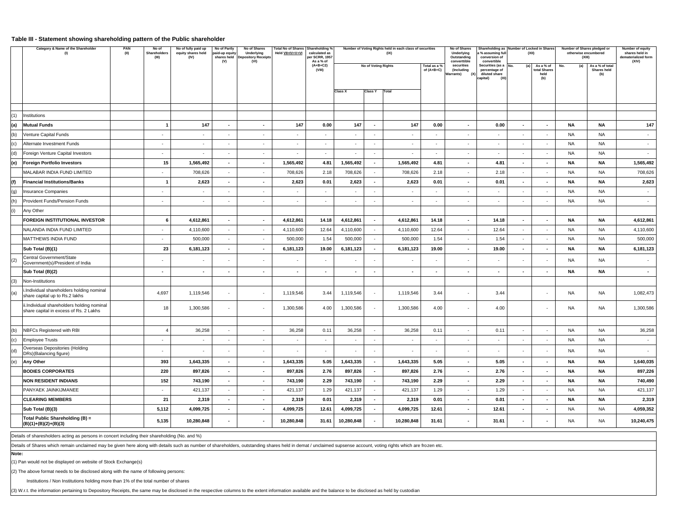#### **Table III - Statement showing shareholding pattern of the Public shareholder**

|     | Category & Name of the Shareholder<br>(1)                                            | PAN<br>(II) | No of<br>Shareholders<br>(III) | No of fully paid up<br>equity shares held<br>(IV) | No of Partly<br>paid-up equity<br>shares held<br>(V) | No of Shares<br>Underlying<br><b>Depository Receipts</b><br>(VI) | <b>Total No of Shares</b><br>Held VII=IV+V+VI | Shareholding %<br>calculated as<br>er SCRR, 1957<br>As a % of |                          |                     | Number of Voting Rights held in each class of securities<br>(IX) |                            | No of Shares<br>Underlying<br>Outstanding<br>converttible | a % assuming full<br>conversion of<br>convertible                             | Shareholding as Number of Locked in Shares<br>(XII) |           | Number of Shares pledged or<br>otherwise encumbered<br>(XIII) | Number of equity<br>shares held in<br>dematerialized form<br>(XIV) |
|-----|--------------------------------------------------------------------------------------|-------------|--------------------------------|---------------------------------------------------|------------------------------------------------------|------------------------------------------------------------------|-----------------------------------------------|---------------------------------------------------------------|--------------------------|---------------------|------------------------------------------------------------------|----------------------------|-----------------------------------------------------------|-------------------------------------------------------------------------------|-----------------------------------------------------|-----------|---------------------------------------------------------------|--------------------------------------------------------------------|
|     |                                                                                      |             |                                |                                                   |                                                      |                                                                  |                                               | $(A+B+C2)$<br>(VIII)                                          |                          | No of Voting Rights |                                                                  | Total as a %<br>of (A+B+C) | securities<br>(Including<br>Warrants)<br>(X)              | Securities (as a<br>No.<br>percentage of<br>diluted share<br>capital)<br>(XI) | As a % of<br>(a)<br>total Shares<br>held<br>(b)     | No.       | As a % of total<br>(a)<br>Shares held<br>(b)                  |                                                                    |
|     |                                                                                      |             |                                |                                                   |                                                      |                                                                  |                                               |                                                               | <b>Class X</b>           | <b>Class Y</b>      | Total                                                            |                            |                                                           |                                                                               |                                                     |           |                                                               |                                                                    |
|     |                                                                                      |             |                                |                                                   |                                                      |                                                                  |                                               |                                                               |                          |                     |                                                                  |                            |                                                           |                                                                               |                                                     |           |                                                               |                                                                    |
| (1) | Institutions                                                                         |             |                                |                                                   |                                                      |                                                                  |                                               |                                                               |                          |                     |                                                                  |                            |                                                           |                                                                               |                                                     |           |                                                               |                                                                    |
| (a) | <b>Mutual Funds</b>                                                                  |             | $\overline{\mathbf{1}}$        | 147                                               | $\sim$                                               | $\sim$                                                           | 147                                           | 0.00                                                          | 147                      | $\sim$              | 147                                                              | 0.00                       | $\blacksquare$                                            | 0.00                                                                          | $\sim$<br>$\sim$                                    | <b>NA</b> | NA                                                            | 147                                                                |
| (b) | Venture Capital Funds                                                                |             | $\sim$                         | $\sim$                                            | $\sim$                                               | $\sim$                                                           | $\sim$                                        | $\sim$                                                        | $\sim$                   | $\sim$              | $\sim$                                                           | $\sim$                     | $\sim$                                                    | $\sim$                                                                        | $\sim$<br>$\sim$                                    | <b>NA</b> | NA.                                                           | $\sim$                                                             |
| (c) | Alternate Investment Funds                                                           |             | $\sim$                         | $\sim$                                            | $\sim$                                               | $\sim$                                                           | $\sim$                                        | $\sim$                                                        | $\sim$                   | $\sim$              | $\overline{\phantom{a}}$                                         | $\sim$                     | $\overline{\phantom{a}}$                                  | $\overline{\phantom{a}}$                                                      | $\sim$<br>$\sim$                                    | <b>NA</b> | <b>NA</b>                                                     | $\sim$                                                             |
| (d) | Foreign Venture Capital Investors                                                    |             | $\overline{\phantom{a}}$       | $\sim$                                            | $\sim$                                               | ×.                                                               | $\mathcal{L}_{\mathcal{A}}$                   | $\sim$                                                        | $\sim$                   | $\sim$              | $\epsilon$                                                       | ÷.                         | $\epsilon$                                                | $\sim$                                                                        | ×.<br>$\sim$                                        | <b>NA</b> | <b>NA</b>                                                     | $\sim$                                                             |
| (e) | <b>Foreign Portfolio Investors</b>                                                   |             | 15                             | 1,565,492                                         | $\sim$                                               | $\sim$                                                           | 1,565,492                                     | 4.81                                                          | 1,565,492                | $\sim$              | 1,565,492                                                        | 4.81                       | $\blacksquare$                                            | 4.81                                                                          | $\sim$<br>$\sim$                                    | <b>NA</b> | <b>NA</b>                                                     | 1,565,492                                                          |
|     | MALABAR INDIA FUND LIMITED                                                           |             |                                | 708,626                                           | $\sim$                                               | $\sim$                                                           | 708,626                                       | 2.18                                                          | 708,626                  | $\sim$              | 708,626                                                          | 2.18                       | $\overline{\phantom{a}}$                                  | 2.18                                                                          | $\sim$<br>$\sim$                                    | <b>NA</b> | NA.                                                           | 708,626                                                            |
| (f) | <b>Financial Institutions/Banks</b>                                                  |             | -1                             | 2,623                                             | $\sim$                                               | $\sim$                                                           | 2,623                                         | 0.01                                                          | 2,623                    | $\sim$              | 2,623                                                            | 0.01                       | $\sim$                                                    | 0.01                                                                          | $\sim$<br>$\sim$                                    | <b>NA</b> | <b>NA</b>                                                     | 2,623                                                              |
| (g) | Insurance Companies                                                                  |             | $\sim$                         | $\sim$                                            | $\overline{\phantom{a}}$                             | $\sim$                                                           | $\sim$                                        | $\sim$                                                        | $\overline{\phantom{a}}$ | $\sim$              | $\overline{\phantom{a}}$                                         | $\overline{\phantom{a}}$   | $\overline{\phantom{a}}$                                  | $\sim$                                                                        | $\sim$<br>$\sim$                                    | NA        | NA                                                            | $\sim$                                                             |
| (h) | Provident Funds/Pension Funds                                                        |             | $\sim$                         | $\sim$                                            | $\sim$                                               | $\sim$                                                           | $\sim$                                        | $\sim$                                                        | $\sim$                   | $\sim$              | $\overline{\phantom{a}}$                                         | $\sim$                     | $\sim$                                                    | $\sim$                                                                        | $\sim$<br>$\sim$                                    | <b>NA</b> | <b>NA</b>                                                     | $\sim$                                                             |
| (i) | Any Other                                                                            |             |                                |                                                   |                                                      |                                                                  |                                               |                                                               |                          |                     |                                                                  |                            |                                                           |                                                                               |                                                     |           |                                                               |                                                                    |
|     | FOREIGN INSTITUTIONAL INVESTOR                                                       |             | 6                              | 4,612,861                                         | $\mathbf{r}$                                         | $\sim$                                                           | 4,612,861                                     | 14.18                                                         | 4,612,861                | $\sim$              | 4,612,861                                                        | 14.18                      | $\blacksquare$                                            | 14.18                                                                         | $\mathbf{r}$<br>$\blacksquare$                      | <b>NA</b> | <b>NA</b>                                                     | 4,612,861                                                          |
|     | NALANDA INDIA FUND LIMITED                                                           |             | $\sim$                         | 4,110,600                                         | $\sim$                                               | $\sim$                                                           | 4,110,600                                     | 12.64                                                         | 4,110,600                | $\sim$              | 4,110,600                                                        | 12.64                      | $\sim$                                                    | 12.64                                                                         | $\sim$<br>$\sim$                                    | <b>NA</b> | <b>NA</b>                                                     | 4,110,600                                                          |
|     | MATTHEWS INDIA FUND                                                                  |             | $\overline{\phantom{a}}$       | 500,000                                           | $\sim$                                               | $\sim$                                                           | 500,000                                       | 1.54                                                          | 500,000                  |                     | 500,000                                                          | 1.54                       | $\overline{\phantom{a}}$                                  | 1.54                                                                          | $\sim$<br>$\overline{\phantom{a}}$                  | <b>NA</b> | <b>NA</b>                                                     | 500,000                                                            |
|     | Sub Total (B)(1)                                                                     |             | 23                             | 6,181,123                                         | $\sim$                                               | $\sim$                                                           | 6,181,123                                     | 19.00                                                         | 6,181,123                | $\sim$              | 6,181,123                                                        | 19.00                      | $\blacksquare$                                            | 19.00                                                                         | $\sim$<br>$\sim$                                    | <b>NA</b> | <b>NA</b>                                                     | 6,181,123                                                          |
| (2) | Central Government/State<br>Government(s)/President of India                         |             |                                | $\sim$                                            |                                                      |                                                                  |                                               | $\overline{\phantom{a}}$                                      |                          |                     | ٠                                                                |                            |                                                           | $\overline{\phantom{a}}$                                                      |                                                     | <b>NA</b> | <b>NA</b>                                                     |                                                                    |
|     | Sub Total (B)(2)                                                                     |             | $\overline{\phantom{a}}$       | $\sim$                                            | $\sim$                                               | $\sim$                                                           | $\mathbf{r}$                                  | $\sim$                                                        | $\sim$                   | $\sim$              | $\blacksquare$                                                   | $\overline{a}$             | $\sim$                                                    | $\mathbf{r}$                                                                  | $\sim$<br>$\sim$                                    | <b>NA</b> | <b>NA</b>                                                     | $\sim$                                                             |
| (3) | Non-Institutions                                                                     |             |                                |                                                   |                                                      |                                                                  |                                               |                                                               |                          |                     |                                                                  |                            |                                                           |                                                                               |                                                     |           |                                                               |                                                                    |
| (a) | Individual shareholders holding nominal<br>share capital up to Rs.2 lakhs            |             | 4,697                          | 1,119,546                                         | $\sim$                                               | $\sim$                                                           | 1,119,546                                     | 3.44                                                          | 1,119,546                | $\sim$              | 1,119,546                                                        | 3.44                       | ٠                                                         | 3.44                                                                          |                                                     | <b>NA</b> | <b>NA</b>                                                     | 1,082,473                                                          |
|     | ii.Individual shareholders holding nominal<br>share capital in excess of Rs. 2 Lakhs |             | 18                             | 1,300,586                                         | $\sim$                                               | $\sim$                                                           | 1,300,586                                     | 4.00                                                          | 1,300,586                | $\sim$              | 1,300,586                                                        | 4.00                       | $\overline{\phantom{a}}$                                  | 4.00                                                                          | $\overline{\phantom{a}}$                            | <b>NA</b> | <b>NA</b>                                                     | 1,300,586                                                          |
| (b) | NBFCs Registered with RBI                                                            |             | $\overline{4}$                 | 36,258                                            | $\sim$                                               | $\sim$                                                           | 36,258                                        | 0.11                                                          | 36,258                   | $\sim$              | 36,258                                                           | 0.11                       | $\cdot$                                                   | 0.11                                                                          | $\sim$<br>$\sim$                                    | <b>NA</b> | NA                                                            | 36,258                                                             |
| (c) | <b>Employee Trusts</b>                                                               |             | $\sim$                         | $\sim$                                            | $\sim$                                               | $\sim$                                                           | $\sim$                                        | $\sim$                                                        | $\sim$                   | $\sim$              | $\overline{\phantom{a}}$                                         | $\sim$                     | $\overline{\phantom{a}}$                                  | $\sim$                                                                        | $\sim$<br>$\sim$                                    | <b>NA</b> | NA.                                                           | $\sim$                                                             |
| (d) | Overseas Depositories (Holding<br>DRs)(Balancing figure)                             |             | $\overline{\phantom{a}}$       | $\sim$                                            |                                                      | $\sim$                                                           |                                               | $\sim$                                                        |                          |                     | $\overline{\phantom{a}}$                                         |                            | ٠                                                         | $\overline{\phantom{a}}$                                                      | $\sim$<br>$\overline{\phantom{a}}$                  | <b>NA</b> | <b>NA</b>                                                     |                                                                    |
| (e) | <b>Any Other</b>                                                                     |             | 393                            | 1,643,335                                         | $\sim$                                               | $\sim$                                                           | 1,643,335                                     | 5.05                                                          | 1,643,335                | $\sim$              | 1,643,335                                                        | 5.05                       | ٠                                                         | 5.05                                                                          | $\sim$<br>$\blacksquare$                            | NA        | NA                                                            | 1,640,035                                                          |
|     | <b>BODIES CORPORATES</b>                                                             |             | 220                            | 897,826                                           | $\mathbf{r}$                                         | $\mathbf{r}$                                                     | 897,826                                       | 2.76                                                          | 897,826                  |                     | 897,826                                                          | 2.76                       | $\blacksquare$                                            | 2.76                                                                          | $\mathbf{r}$<br>$\blacksquare$                      | <b>NA</b> | <b>NA</b>                                                     | 897,226                                                            |
|     | <b>NON RESIDENT INDIANS</b>                                                          |             | 152                            | 743,190                                           | $\sim$                                               | $\sim$                                                           | 743,190                                       | 2.29                                                          | 743,190                  | $\sim$              | 743,190                                                          | 2.29                       | $\sim$                                                    | 2.29                                                                          | $\sim$<br>$\sim$                                    | <b>NA</b> | <b>NA</b>                                                     | 740,490                                                            |
|     | PANYAEK JAINKIJMANEE                                                                 |             | $\sim$                         | 421,137                                           | $\sim$                                               | $\sim$                                                           | 421,137                                       | 1.29                                                          | 421,137                  | $\sim$              | 421,137                                                          | 1.29                       | $\sim$                                                    | 1.29                                                                          | $\sim$<br>$\sim$                                    | <b>NA</b> | NA.                                                           | 421,137                                                            |
|     | <b>CLEARING MEMBERS</b>                                                              |             | 21                             | 2,319                                             | $\sim$                                               | $\sim$                                                           | 2,319                                         | 0.01                                                          | 2,319                    | $\sim$              | 2,319                                                            | 0.01                       | $\blacksquare$                                            | 0.01                                                                          | $\blacksquare$<br>$\sim$                            | <b>NA</b> | <b>NA</b>                                                     | 2,319                                                              |
|     | Sub Total (B)(3)                                                                     |             | 5,112                          | 4,099,725                                         | $\blacksquare$                                       | $\blacksquare$                                                   | 4,099,725                                     | 12.61                                                         | 4,099,725                | $\sim$              | 4,099,725                                                        | 12.61                      | $\blacksquare$                                            | 12.61                                                                         | $\sim$<br>$\blacksquare$                            | <b>NA</b> | NA.                                                           | 4,059,352                                                          |
|     | Total Public Shareholding (B) =<br>(B)(1)+(B)(2)+(B)(3)                              |             | 5,135                          | 10,280,848                                        |                                                      |                                                                  | 10,280,848                                    | 31.61                                                         | 10,280,848               |                     | 10,280,848                                                       | 31.61                      |                                                           | 31.61                                                                         |                                                     | NA        | <b>NA</b>                                                     | 10,240,475                                                         |

Details of sharesholders acting as persons in concert including their shareholding (No. and %)

Details of Shares which remain unclaimed may be given here along with details such as number of shareholders, outstanding shares held in demat / unclaimed supsense account, voting rights which are frozen etc.

**Note:**

(1) Pan would not be displayed on website of Stock Exchange(s)

(2) The above format needs to be disclosed along with the name of following persons:

Institutions / Non Institutions holding more than 1% of the total number of shares

(3) W.r.t. the information pertaining to Depository Receipts, the same may be disclosed in the respective columns to the extent information available and the balance to be disclosed as held by custodian